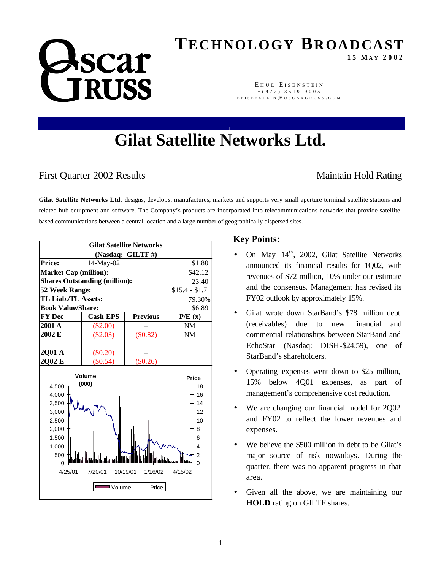# **ASCAT RUSS**

## **TECHNOLOGY BROADCAST**

**15 M AY 2002**

EHUD EISENSTEIN +(972) 3519 - 9005 EEISENSTEIN @ OSCARGRUSS COM

### **Gilat Satellite Networks Ltd.**

### First Quarter 2002 Results Maintain Hold Rating

Gilat Satellite Networks Ltd. designs, develops, manufactures, markets and supports very small aperture terminal satellite stations and related hub equipment and software. The Company's products are incorporated into telecommunications networks that provide satellitebased communications between a central location and a large number of geographically dispersed sites.



#### **Key Points:**

- On May  $14<sup>th</sup>$ , 2002, Gilat Satellite Networks announced its financial results for 1Q02, with revenues of \$72 million, 10% under our estimate and the consensus. Management has revised its FY02 outlook by approximately 15%.
- Gilat wrote down StarBand's \$78 million debt (receivables) due to new financial and commercial relationships between StarBand and EchoStar (Nasdaq: DISH-\$24.59), one of StarBand's shareholders.
- Operating expenses went down to \$25 million, 15% below 4Q01 expenses, as part of management's comprehensive cost reduction.
- We are changing our financial model for 2002 and FY02 to reflect the lower revenues and expenses.
- We believe the \$500 million in debt to be Gilat's major source of risk nowadays. During the quarter, there was no apparent progress in that area.
- Given all the above, we are maintaining our **HOLD** rating on GILTF shares.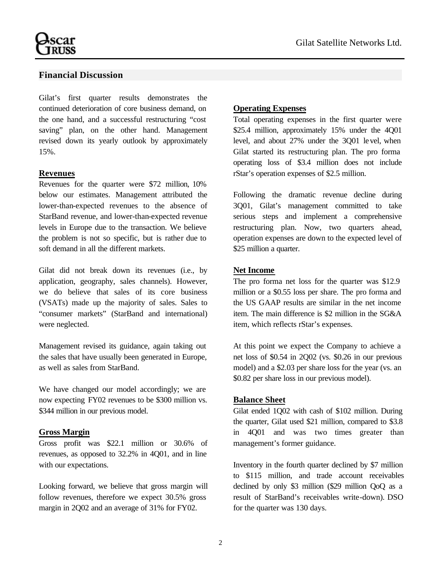#### **Financial Discussion**

Gilat's first quarter results demonstrates the continued deterioration of core business demand, on the one hand, and a successful restructuring "cost saving" plan, on the other hand. Management revised down its yearly outlook by approximately 15%.

#### **Revenues**

Revenues for the quarter were \$72 million, 10% below our estimates. Management attributed the lower-than-expected revenues to the absence of StarBand revenue, and lower-than-expected revenue levels in Europe due to the transaction. We believe the problem is not so specific, but is rather due to soft demand in all the different markets.

Gilat did not break down its revenues (i.e., by application, geography, sales channels). However, we do believe that sales of its core business (VSATs) made up the majority of sales. Sales to "consumer markets" (StarBand and international) were neglected.

Management revised its guidance, again taking out the sales that have usually been generated in Europe, as well as sales from StarBand.

We have changed our model accordingly; we are now expecting FY02 revenues to be \$300 million vs. \$344 million in our previous model.

#### **Gross Margin**

Gross profit was \$22.1 million or 30.6% of revenues, as opposed to 32.2% in 4Q01, and in line with our expectations.

Looking forward, we believe that gross margin will follow revenues, therefore we expect 30.5% gross margin in 2Q02 and an average of 31% for FY02.

#### **Operating Expenses**

Total operating expenses in the first quarter were \$25.4 million, approximately 15% under the 4Q01 level, and about 27% under the 3Q01 level, when Gilat started its restructuring plan. The pro forma operating loss of \$3.4 million does not include rStar's operation expenses of \$2.5 million.

Following the dramatic revenue decline during 3Q01, Gilat's management committed to take serious steps and implement a comprehensive restructuring plan. Now, two quarters ahead, operation expenses are down to the expected level of \$25 million a quarter.

#### **Net Income**

The pro forma net loss for the quarter was \$12.9 million or a \$0.55 loss per share. The pro forma and the US GAAP results are similar in the net income item. The main difference is \$2 million in the SG&A item, which reflects rStar's expenses.

At this point we expect the Company to achieve a net loss of \$0.54 in 2Q02 (vs. \$0.26 in our previous model) and a \$2.03 per share loss for the year (vs. an \$0.82 per share loss in our previous model).

#### **Balance Sheet**

Gilat ended 1Q02 with cash of \$102 million. During the quarter, Gilat used \$21 million, compared to \$3.8 in 4Q01 and was two times greater than management's former guidance.

Inventory in the fourth quarter declined by \$7 million to \$115 million, and trade account receivables declined by only \$3 million (\$29 million QoQ as a result of StarBand's receivables write-down). DSO for the quarter was 130 days.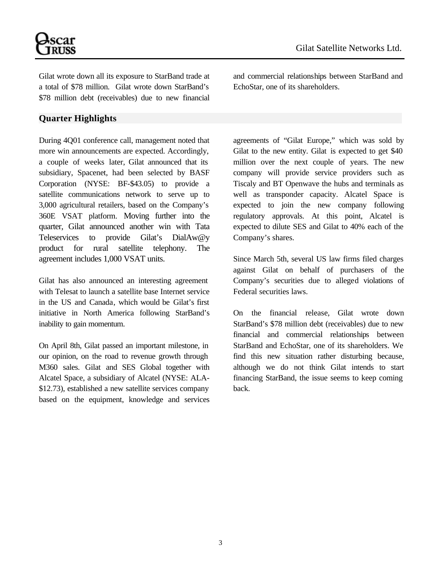

Gilat wrote down all its exposure to StarBand trade at a total of \$78 million. Gilat wrote down StarBand's \$78 million debt (receivables) due to new financial

#### **Quarter Highlights**

During 4Q01 conference call, management noted that more win announcements are expected. Accordingly, a couple of weeks later, Gilat announced that its subsidiary, Spacenet, had been selected by BASF Corporation (NYSE: BF-\$43.05) to provide a satellite communications network to serve up to 3,000 agricultural retailers, based on the Company's 360E VSAT platform. Moving further into the quarter, Gilat announced another win with Tata Teleservices to provide Gilat's DialAw@y product for rural satellite telephony. The agreement includes 1,000 VSAT units.

Gilat has also announced an interesting agreement with Telesat to launch a satellite base Internet service in the US and Canada, which would be Gilat's first initiative in North America following StarBand's inability to gain momentum.

On April 8th, Gilat passed an important milestone, in our opinion, on the road to revenue growth through M360 sales. Gilat and SES Global together with Alcatel Space, a subsidiary of Alcatel (NYSE: ALA- \$12.73), established a new satellite services company based on the equipment, knowledge and services and commercial relationships between StarBand and EchoStar, one of its shareholders.

agreements of "Gilat Europe," which was sold by Gilat to the new entity. Gilat is expected to get \$40 million over the next couple of years. The new company will provide service providers such as Tiscaly and BT Openwave the hubs and terminals as well as transponder capacity. Alcatel Space is expected to join the new company following regulatory approvals. At this point, Alcatel is expected to dilute SES and Gilat to 40% each of the Company's shares.

Since March 5th, several US law firms filed charges against Gilat on behalf of purchasers of the Company's securities due to alleged violations of Federal securities laws.

On the financial release, Gilat wrote down StarBand's \$78 million debt (receivables) due to new financial and commercial relationships between StarBand and EchoStar, one of its shareholders. We find this new situation rather disturbing because, although we do not think Gilat intends to start financing StarBand, the issue seems to keep coming back.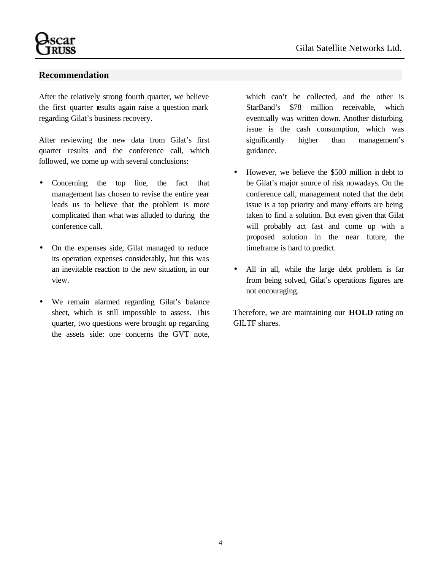#### **Recommendation**

After the relatively strong fourth quarter, we believe the first quarter results again raise a question mark regarding Gilat's business recovery.

After reviewing the new data from Gilat's first quarter results and the conference call, which followed, we come up with several conclusions:

- Concerning the top line, the fact that management has chosen to revise the entire year leads us to believe that the problem is more complicated than what was alluded to during the conference call.
- On the expenses side, Gilat managed to reduce its operation expenses considerably, but this was an inevitable reaction to the new situation, in our view.
- We remain alarmed regarding Gilat's balance sheet, which is still impossible to assess. This quarter, two questions were brought up regarding the assets side: one concerns the GVT note,

which can't be collected, and the other is StarBand's \$78 million receivable, which eventually was written down. Another disturbing issue is the cash consumption, which was significantly higher than management's guidance.

- However, we believe the \$500 million in debt to be Gilat's major source of risk nowadays. On the conference call, management noted that the debt issue is a top priority and many efforts are being taken to find a solution. But even given that Gilat will probably act fast and come up with a proposed solution in the near future, the timeframe is hard to predict.
- All in all, while the large debt problem is far from being solved, Gilat's operations figures are not encouraging.

Therefore, we are maintaining our **HOLD** rating on GILTF shares.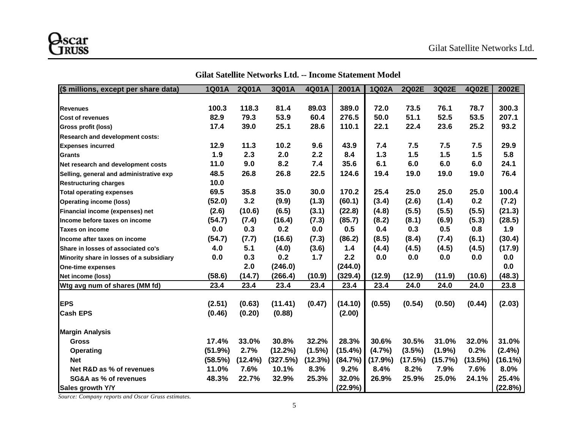| (\$ millions, except per share data)     | 1Q01A   | 2Q01A   | 3Q01A    | 4Q01A   | 2001A   | 1Q02A   | 2Q02E   | 3Q02E     | 4Q02E   | 2002E     |
|------------------------------------------|---------|---------|----------|---------|---------|---------|---------|-----------|---------|-----------|
|                                          |         |         |          |         |         |         |         |           |         |           |
| <b>Revenues</b>                          | 100.3   | 118.3   | 81.4     | 89.03   | 389.0   | 72.0    | 73.5    | 76.1      | 78.7    | 300.3     |
| <b>Cost of revenues</b>                  | 82.9    | 79.3    | 53.9     | 60.4    | 276.5   | 50.0    | 51.1    | 52.5      | 53.5    | 207.1     |
| <b>Gross profit (loss)</b>               | 17.4    | 39.0    | 25.1     | 28.6    | 110.1   | 22.1    | 22.4    | 23.6      | 25.2    | 93.2      |
| <b>Research and development costs:</b>   |         |         |          |         |         |         |         |           |         |           |
| <b>Expenses incurred</b>                 | 12.9    | 11.3    | 10.2     | 9.6     | 43.9    | 7.4     | 7.5     | 7.5       | 7.5     | 29.9      |
| Grants                                   | 1.9     | 2.3     | 2.0      | 2.2     | 8.4     | 1.3     | 1.5     | 1.5       | 1.5     | 5.8       |
| Net research and development costs       | 11.0    | 9.0     | 8.2      | 7.4     | 35.6    | 6.1     | 6.0     | 6.0       | 6.0     | 24.1      |
| Selling, general and administrative exp  | 48.5    | 26.8    | 26.8     | 22.5    | 124.6   | 19.4    | 19.0    | 19.0      | 19.0    | 76.4      |
| <b>Restructuring charges</b>             | 10.0    |         |          |         |         |         |         |           |         |           |
| <b>Total operating expenses</b>          | 69.5    | 35.8    | 35.0     | 30.0    | 170.2   | 25.4    | 25.0    | 25.0      | 25.0    | 100.4     |
| <b>Operating income (loss)</b>           | (52.0)  | 3.2     | (9.9)    | (1.3)   | (60.1)  | (3.4)   | (2.6)   | (1.4)     | 0.2     | (7.2)     |
| Financial income (expenses) net          | (2.6)   | (10.6)  | (6.5)    | (3.1)   | (22.8)  | (4.8)   | (5.5)   | (5.5)     | (5.5)   | (21.3)    |
| Income before taxes on income            | (54.7)  | (7.4)   | (16.4)   | (7.3)   | (85.7)  | (8.2)   | (8.1)   | (6.9)     | (5.3)   | (28.5)    |
| <b>Taxes on income</b>                   | 0.0     | 0.3     | 0.2      | 0.0     | 0.5     | 0.4     | 0.3     | 0.5       | 0.8     | 1.9       |
| llncome after taxes on income            | (54.7)  | (7.7)   | (16.6)   | (7.3)   | (86.2)  | (8.5)   | (8.4)   | (7.4)     | (6.1)   | (30.4)    |
| Share in losses of associated co's       | 4.0     | 5.1     | (4.0)    | (3.6)   | $1.4$   | (4.4)   | (4.5)   | (4.5)     | (4.5)   | (17.9)    |
| Minority share in losses of a subsidiary | 0.0     | 0.3     | 0.2      | 1.7     | 2.2     | 0.0     | 0.0     | 0.0       | 0.0     | 0.0       |
| One-time expenses                        |         | 2.0     | (246.0)  |         | (244.0) |         |         |           |         | 0.0       |
| Net income (loss)                        | (58.6)  | (14.7)  | (266.4)  | (10.9)  | (329.4) | (12.9)  | (12.9)  | (11.9)    | (10.6)  | (48.3)    |
| Wtg avg num of shares (MM fd)            | 23.4    | 23.4    | 23.4     | 23.4    | 23.4    | 23.4    | 24.0    | 24.0      | 24.0    | 23.8      |
| <b>IEPS</b>                              | (2.51)  | (0.63)  | (11.41)  | (0.47)  | (14.10) | (0.55)  | (0.54)  | (0.50)    | (0.44)  | (2.03)    |
| <b>Cash EPS</b>                          | (0.46)  | (0.20)  | (0.88)   |         | (2.00)  |         |         |           |         |           |
| <b>Margin Analysis</b>                   |         |         |          |         |         |         |         |           |         |           |
| <b>Gross</b>                             | 17.4%   | 33.0%   | 30.8%    | 32.2%   | 28.3%   | 30.6%   | 30.5%   | 31.0%     | 32.0%   | 31.0%     |
| <b>Operating</b>                         | (51.9%) | 2.7%    | (12.2%)  | (1.5%)  | (15.4%) | (4.7%)  | (3.5%)  | $(1.9\%)$ | 0.2%    | $(2.4\%)$ |
| <b>Net</b>                               | (58.5%) | (12.4%) | (327.5%) | (12.3%) | (84.7%) | (17.9%) | (17.5%) | (15.7%)   | (13.5%) | (16.1%)   |
| Net R&D as % of revenues                 | 11.0%   | 7.6%    | 10.1%    | 8.3%    | 9.2%    | 8.4%    | 8.2%    | 7.9%      | 7.6%    | 8.0%      |
| <b>SG&amp;A as % of revenues</b>         | 48.3%   | 22.7%   | 32.9%    | 25.3%   | 32.0%   | 26.9%   | 25.9%   | 25.0%     | 24.1%   | 25.4%     |
| Sales growth Y/Y                         |         |         |          |         | (22.9%) |         |         |           |         | (22.8%)   |

#### **Gilat Satellite Networks Ltd. -- Income Statement Model**

*Source: Company reports and Oscar Gruss estimates.*